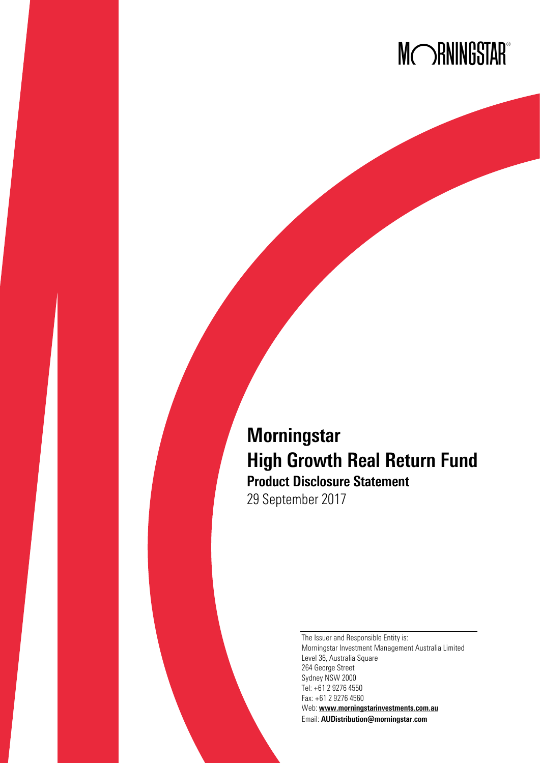# MORNINGSTAR®

## **Morningstar** High Growth Real Return Fund Product Disclosure Statement 29 September 2017

The Issuer and Responsible Entity is: Morningstar Investment Management Australia Limited Level 36, Australia Square 264 George Street Sydney NSW 2000 Tel: +61 2 9276 4550 Fax: +61 2 9276 4560 Web: [www.morningstarinvestments.com.au](http://www.morningstarinvestments.com.au/) Email: [AUDistribution@morningstar.com](mailto:AUDistribution@morningstar.com)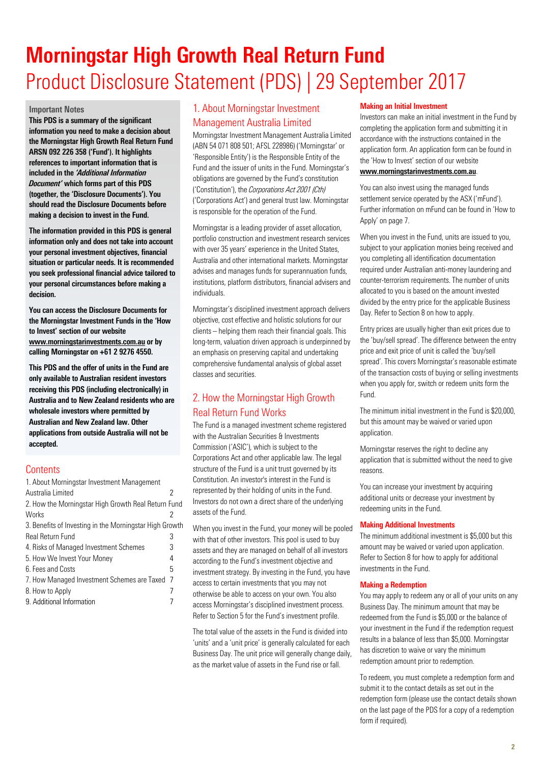## Morningstar High Growth Real Return Fund Product Disclosure Statement (PDS) | 29 September 2017

#### Important Notes

This PDS is a summary of the significant information you need to make a decision about the Morningstar High Growth Real Return Fund ARSN 092 226 358 ('Fund'). It highlights references to important information that is included in the *'Additional Information Document'* which forms part of this PDS (together, the 'Disclosure Documents'). You should read the Disclosure Documents before making a decision to invest in the Fund.

The information provided in this PDS is general information only and does not take into account your personal investment objectives, financial situation or particular needs. It is recommended you seek professional financial advice tailored to your personal circumstances before making a decision.

You can access the Disclosure Documents for the Morningstar Investment Funds in the 'How to Invest' section of our website [www.morningstarinvestments.com.au](http://www.morningstarinvestments.com.au/) or by calling Morningstar on +61 2 9276 4550.

This PDS and the offer of units in the Fund are only available to Australian resident investors receiving this PDS (including electronically) in Australia and to New Zealand residents who are wholesale investors where permitted by Australian and New Zealand law. Other applications from outside Australia will not be accepted.

## **Contents**

| 2                                                       |
|---------------------------------------------------------|
| 2. How the Morningstar High Growth Real Return Fund     |
|                                                         |
| 3. Benefits of Investing in the Morningstar High Growth |
| 3                                                       |
| 3                                                       |
| 4                                                       |
| 5                                                       |
| -7                                                      |
|                                                         |
|                                                         |
|                                                         |

## <span id="page-1-0"></span>1. About Morningstar Investment Management Australia Limited

Morningstar Investment Management Australia Limited (ABN 54 071 808 501; AFSL 228986) ('Morningstar' or 'Responsible Entity') is the Responsible Entity of the Fund and the issuer of units in the Fund. Morningstar's obligations are governed by the Fund's constitution ('Constitution'), the *Corporations Act 2001 (Cth)* ('Corporations Act') and general trust law. Morningstar is responsible for the operation of the Fund.

Morningstar is a leading provider of asset allocation, portfolio construction and investment research services with over 35 years' experience in the United States, Australia and other international markets. Morningstar advises and manages funds for superannuation funds, institutions, platform distributors, financial advisers and individuals.

Morningstar's disciplined investment approach delivers objective, cost effective and holistic solutions for our clients – helping them reach their financial goals. This long-term, valuation driven approach is underpinned by an emphasis on preserving capital and undertaking comprehensive fundamental analysis of global asset classes and securities.

## <span id="page-1-1"></span>2. How the Morningstar High Growth Real Return Fund Works

The Fund is a managed investment scheme registered with the Australian Securities & Investments Commission ('ASIC'), which is subject to the Corporations Act and other applicable law. The legal structure of the Fund is a unit trust governed by its Constitution. An investor's interest in the Fund is represented by their holding of units in the Fund. Investors do not own a direct share of the underlying assets of the Fund.

When you invest in the Fund, your money will be pooled with that of other investors. This pool is used to buy assets and they are managed on behalf of all investors according to the Fund's investment objective and investment strategy. By investing in the Fund, you have access to certain investments that you may not otherwise be able to access on your own. You also access Morningstar's disciplined investment process. Refer to Section 5 for the Fund's investment profile.

The total value of the assets in the Fund is divided into 'units' and a 'unit price' is generally calculated for each Business Day. The unit price will generally change daily, as the market value of assets in the Fund rise or fall.

#### Making an Initial Investment

Investors can make an initial investment in the Fund by completing the application form and submitting it in accordance with the instructions contained in the application form. An application form can be found in the 'How to Invest' section of our website [www.morningstarinvestments.com.au](http://www.morningstarinvestments.com.au/).

You can also invest using the managed funds settlement service operated by the ASX ('mFund'). Further information on mFund can be found in 'How to Apply' on page 7.

When you invest in the Fund, units are issued to you, subject to your application monies being received and you completing all identification documentation required under Australian anti-money laundering and counter-terrorism requirements. The number of units allocated to you is based on the amount invested divided by the entry price for the applicable Business Day. Refer to Section 8 on how to apply.

Entry prices are usually higher than exit prices due to the 'buy/sell spread'. The difference between the entry price and exit price of unit is called the 'buy/sell spread'. This covers Morningstar's reasonable estimate of the transaction costs of buying or selling investments when you apply for, switch or redeem units form the Fund.

The minimum initial investment in the Fund is \$20,000, but this amount may be waived or varied upon application.

Morningstar reserves the right to decline any application that is submitted without the need to give reasons.

You can increase your investment by acquiring additional units or decrease your investment by redeeming units in the Fund.

#### Making Additional Investments

The minimum additional investment is \$5,000 but this amount may be waived or varied upon application. Refer to Section 8 for how to apply for additional investments in the Fund.

#### Making a Redemption

You may apply to redeem any or all of your units on any Business Day. The minimum amount that may be redeemed from the Fund is \$5,000 or the balance of your investment in the Fund if the redemption request results in a balance of less than \$5,000. Morningstar has discretion to waive or vary the minimum redemption amount prior to redemption.

To redeem, you must complete a redemption form and submit it to the contact details as set out in the redemption form (please use the contact details shown on the last page of the PDS for a copy of a redemption form if required).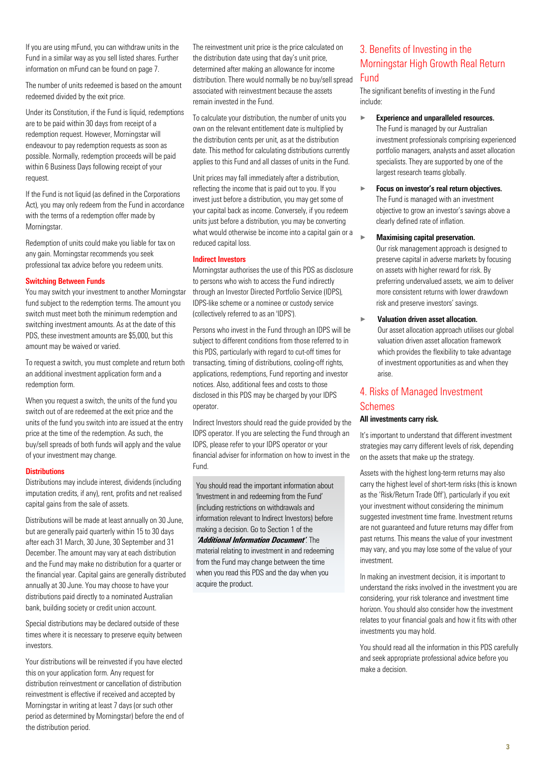If you are using mFund, you can withdraw units in the Fund in a similar way as you sell listed shares. Further information on mFund can be found on page 7.

The number of units redeemed is based on the amount redeemed divided by the exit price.

Under its Constitution, if the Fund is liquid, redemptions are to be paid within 30 days from receipt of a redemption request. However, Morningstar will endeavour to pay redemption requests as soon as possible. Normally, redemption proceeds will be paid within 6 Business Days following receipt of your request.

If the Fund is not liquid (as defined in the Corporations Act), you may only redeem from the Fund in accordance with the terms of a redemption offer made by Morningstar.

Redemption of units could make you liable for tax on any gain. Morningstar recommends you seek professional tax advice before you redeem units.

#### Switching Between Funds

You may switch your investment to another Morningstar fund subject to the redemption terms. The amount you switch must meet both the minimum redemption and switching investment amounts. As at the date of this PDS, these investment amounts are \$5,000, but this amount may be waived or varied.

To request a switch, you must complete and return both an additional investment application form and a redemption form.

When you request a switch, the units of the fund you switch out of are redeemed at the exit price and the units of the fund you switch into are issued at the entry price at the time of the redemption. As such, the buy/sell spreads of both funds will apply and the value of your investment may change.

#### **Distributions**

Distributions may include interest, dividends (including imputation credits, if any), rent, profits and net realised capital gains from the sale of assets.

Distributions will be made at least annually on 30 June, but are generally paid quarterly within 15 to 30 days after each 31 March, 30 June, 30 September and 31 December. The amount may vary at each distribution and the Fund may make no distribution for a quarter or the financial year. Capital gains are generally distributed annually at 30 June. You may choose to have your distributions paid directly to a nominated Australian bank, building society or credit union account.

Special distributions may be declared outside of these times where it is necessary to preserve equity between investors.

Your distributions will be reinvested if you have elected this on your application form. Any request for distribution reinvestment or cancellation of distribution reinvestment is effective if received and accepted by Morningstar in writing at least 7 days (or such other period as determined by Morningstar) before the end of the distribution period.

The reinvestment unit price is the price calculated on the distribution date using that day's unit price, determined after making an allowance for income distribution. There would normally be no buy/sell spread associated with reinvestment because the assets remain invested in the Fund.

To calculate your distribution, the number of units you own on the relevant entitlement date is multiplied by the distribution cents per unit, as at the distribution date. This method for calculating distributions currently applies to this Fund and all classes of units in the Fund.

Unit prices may fall immediately after a distribution, reflecting the income that is paid out to you. If you invest just before a distribution, you may get some of your capital back as income. Conversely, if you redeem units just before a distribution, you may be converting what would otherwise be income into a capital gain or a reduced capital loss.

#### Indirect Investors

Morningstar authorises the use of this PDS as disclosure to persons who wish to access the Fund indirectly through an Investor Directed Portfolio Service (IDPS), IDPS-like scheme or a nominee or custody service (collectively referred to as an 'IDPS').

Persons who invest in the Fund through an IDPS will be subject to different conditions from those referred to in this PDS, particularly with regard to cut-off times for transacting, timing of distributions, cooling-off rights, applications, redemptions, Fund reporting and investor notices. Also, additional fees and costs to those disclosed in this PDS may be charged by your IDPS operator.

Indirect Investors should read the guide provided by the IDPS operator. If you are selecting the Fund through an IDPS, please refer to your IDPS operator or your financial adviser for information on how to invest in the Fund.

You should read the important information about 'Investment in and redeeming from the Fund' (including restrictions on withdrawals and information relevant to Indirect Investors) before making a decision. Go to Section 1 of the **'Additional Information Document'**. The material relating to investment in and redeeming from the Fund may change between the time when you read this PDS and the day when you acquire the product.

## <span id="page-2-0"></span>3. Benefits of Investing in the Morningstar High Growth Real Return Fund

The significant benefits of investing in the Fund include:

largest research teams globally.

- $\blacktriangleright$  Experience and unparalleled resources. The Fund is managed by our Australian investment professionals comprising experienced portfolio managers, analysts and asset allocation specialists. They are supported by one of the
- $\blacktriangleright$  Focus on investor's real return objectives. The Fund is managed with an investment objective to grow an investor's savings above a clearly defined rate of inflation.
	- Maximising capital preservation. Our risk management approach is designed to

preserve capital in adverse markets by focusing on assets with higher reward for risk. By preferring undervalued assets, we aim to deliver more consistent returns with lower drawdown risk and preserve investors' savings.

#### $\blacktriangleright$  Valuation driven asset allocation.

Our asset allocation approach utilises our global valuation driven asset allocation framework which provides the flexibility to take advantage of investment opportunities as and when they arise.

## <span id="page-2-1"></span>4. Risks of Managed Investment Schemes

#### All investments carry risk.

It's important to understand that different investment strategies may carry different levels of risk, depending on the assets that make up the strategy.

Assets with the highest long-term returns may also carry the highest level of short-term risks (this is known as the 'Risk/Return Trade Off'), particularly if you exit your investment without considering the minimum suggested investment time frame. Investment returns are not guaranteed and future returns may differ from past returns. This means the value of your investment may vary, and you may lose some of the value of your investment.

In making an investment decision, it is important to understand the risks involved in the investment you are considering, your risk tolerance and investment time horizon. You should also consider how the investment relates to your financial goals and how it fits with other investments you may hold.

You should read all the information in this PDS carefully and seek appropriate professional advice before you make a decision.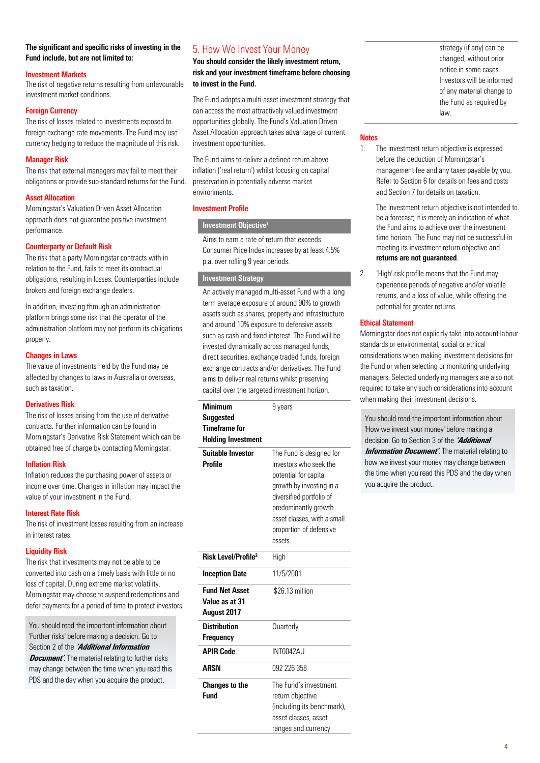#### The significant and specific risks of investing in the Fund include, but are not limited to:

#### Investment Markets

The risk of negative returns resulting from unfavourable investment market conditions.

#### Foreign Currency

The risk of losses related to investments exposed to foreign exchange rate movements. The Fund may use currency hedging to reduce the magnitude of this risk.

#### Manager Risk

The risk that external managers may fail to meet their obligations or provide sub-standard returns for the Fund.

#### Asset Allocation

Morningstar's Valuation Driven Asset Allocation approach does not guarantee positive investment performance.

#### Counterparty or Default Risk

The risk that a party Morningstar contracts with in relation to the Fund, fails to meet its contractual obligations, resulting in losses. Counterparties include brokers and foreign exchange dealers.

In addition, investing through an administration platform brings some risk that the operator of the administration platform may not perform its obligations properly.

#### Changes in Laws

The value of investments held by the Fund may be affected by changes to laws in Australia or overseas, such as taxation.

#### Derivatives Risk

The risk of losses arising from the use of derivative contracts. Further information can be found in Morningstar's Derivative Risk Statement which can be obtained free of charge by contacting Morningstar.

#### Inflation Risk

Inflation reduces the purchasing power of assets or income over time. Changes in inflation may impact the value of your investment in the Fund.

#### Interest Rate Risk

The risk of investment losses resulting from an increase in interest rates.

#### Liquidity Risk

The risk that investments may not be able to be converted into cash on a timely basis with little or no loss of capital. During extreme market volatility, Morningstar may choose to suspend redemptions and defer payments for a period of time to protect investors.

You should read the important information about 'Further risks' before making a decision. Go to Section 2 of the **'Additional Information**  *Document'*. The material relating to further risks may change between the time when you read this PDS and the day when you acquire the product.

## <span id="page-3-0"></span>5. How We Invest Your Money

You should consider the likely investment return, risk and your investment timeframe before choosing to invest in the Fund.

The Fund adopts a multi-asset investment strategy that can access the most attractively valued investment opportunities globally. The Fund's Valuation Driven Asset Allocation approach takes advantage of current investment opportunities.

The Fund aims to deliver a defined return above inflation ('real return') whilst focusing on capital preservation in potentially adverse market environments.

#### Investment Profile

#### Investment Objective**<sup>1</sup>**

Aims to earn a rate of return that exceeds Consumer Price Index increases by at least 4.5% p.a. over rolling 9 year periods.

#### Investment Strategy

An actively managed multi-asset Fund with a long term average exposure of around 90% to growth assets such as shares, property and infrastructure and around 10% exposure to defensive assets such as cash and fixed interest. The Fund will be invested dynamically across managed funds, direct securities, exchange traded funds, foreign exchange contracts and/or derivatives. The Fund aims to deliver real returns whilst preserving capital over the targeted investment horizon.

| <b>Minimum</b><br>Suggested<br><b>Timeframe for</b><br><b>Holding Investment</b> | 9 years                                                                                                                                                                                                                          |
|----------------------------------------------------------------------------------|----------------------------------------------------------------------------------------------------------------------------------------------------------------------------------------------------------------------------------|
| <b>Suitable Investor</b><br><b>Profile</b>                                       | The Fund is designed for<br>investors who seek the<br>potential for capital<br>growth by investing in a<br>diversified portfolio of<br>predominantly growth<br>asset classes, with a small<br>proportion of defensive<br>assets. |
| <b>Risk Level/Profile<sup>2</sup></b>                                            | High                                                                                                                                                                                                                             |
| <b>Inception Date</b>                                                            | 11/5/2001                                                                                                                                                                                                                        |
| <b>Fund Net Asset</b><br>Value as at 31<br>August 2017                           | \$26.13 million                                                                                                                                                                                                                  |
| <b>Distribution</b><br>Frequency                                                 | Quarterly                                                                                                                                                                                                                        |
| <b>APIR Code</b>                                                                 | INT0042AU                                                                                                                                                                                                                        |
| <b>ARSN</b>                                                                      | 092 226 358                                                                                                                                                                                                                      |
| <b>Changes to the</b><br><b>Fund</b>                                             | The Fund's investment<br>return objective<br>(including its benchmark),<br>asset classes, asset<br>ranges and currency                                                                                                           |

strategy (if any) can be changed, without prior notice in some cases. Investors will be informed of any material change to the Fund as required by law.

#### **Notes**

1. The investment return objective is expressed before the deduction of Morningstar's management fee and any taxes payable by you. Refer to Section 6 for details on fees and costs and Section 7 for details on taxation.

> The investment return objective is not intended to be a forecast; it is merely an indication of what the Fund aims to achieve over the investment time horizon. The Fund may not be successful in meeting its investment return objective and returns are not quaranteed.

2. 'High' risk profile means that the Fund may experience periods of negative and/or volatile returns, and a loss of value, while offering the potential for greater returns.

### Ethical Statement

Morningstar does not explicitly take into account labour standards or environmental, social or ethical considerations when making investment decisions for the Fund or when selecting or monitoring underlying managers. Selected underlying managers are also not required to take any such considerations into account when making their investment decisions.

You should read the important information about 'How we invest your money' before making a decision. Go to Section 3 of the **'Additional Information Document**'. The material relating to how we invest your money may change between the time when you read this PDS and the day when you acquire the product.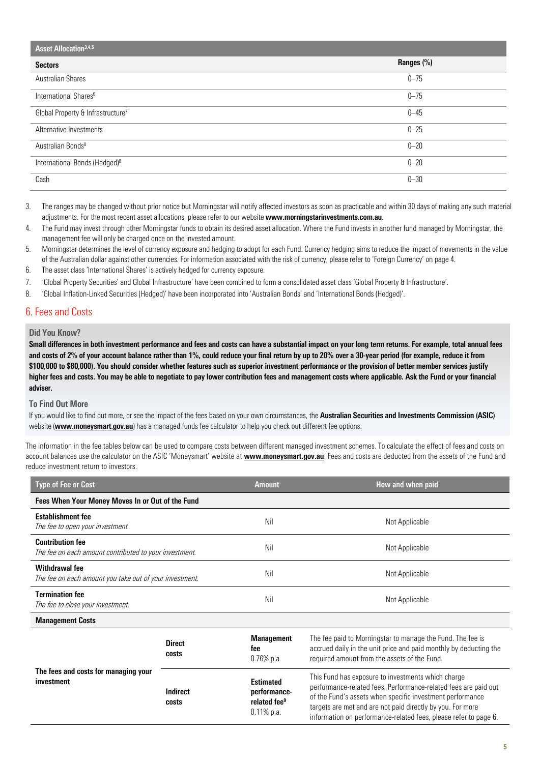| Asset Allocation <sup>3,4,5</sup>             |            |  |
|-----------------------------------------------|------------|--|
| <b>Sectors</b>                                | Ranges (%) |  |
| <b>Australian Shares</b>                      | $0 - 75$   |  |
| International Shares <sup>6</sup>             | $0 - 75$   |  |
| Global Property & Infrastructure <sup>7</sup> | $0 - 45$   |  |
| Alternative Investments                       | $0 - 25$   |  |
| Australian Bonds <sup>8</sup>                 | $0 - 20$   |  |
| International Bonds (Hedged) <sup>8</sup>     | $0 - 20$   |  |
| Cash                                          | $0 - 30$   |  |

<sup>3.</sup> The ranges may be changed without prior notice but Morningstar will notify affected investors as soon as practicable and within 30 days of making any such material adjustments. For the most recent asset allocations, please refer to our website www.morningstarinvestments.com.au.

- 4. The Fund may invest through other Morningstar funds to obtain its desired asset allocation. Where the Fund invests in another fund managed by Morningstar, the management fee will only be charged once on the invested amount.
- 5. Morningstar determines the level of currency exposure and hedging to adopt for each Fund. Currency hedging aims to reduce the impact of movements in the value of the Australian dollar against other currencies. For information associated with the risk of currency, please refer to 'Foreign Currency' on page 4.
- 6. The asset class 'International Shares' is actively hedged for currency exposure.
- 7. 'Global Property Securities' and Global Infrastructure' have been combined to form a consolidated asset class 'Global Property & Infrastructure'.
- 8. 'Global Inflation-Linked Securities (Hedged)' have been incorporated into 'Australian Bonds' and 'International Bonds (Hedged)'.

### <span id="page-4-0"></span>6. Fees and Costs

#### Did You Know?

Small differences in both investment performance and fees and costs can have a substantial impact on your long term returns. For example, total annual fees and costs of 2% of your account balance rather than 1%, could reduce your final return by up to 20% over a 30-year period (for example, reduce it from \$100,000 to \$80,000). You should consider whether features such as superior investment performance or the provision of better member services justify higher fees and costs. You may be able to negotiate to pay lower contribution fees and management costs where applicable. Ask the Fund or your financial adviser.

#### To Find Out More

If you would like to find out more, or see the impact of the fees based on your own circumstances, the Australian Securities and Investments Commission (ASIC) website ([www.moneysmart.gov.au](http://www.moneysmart.gov.au/)) has a managed funds fee calculator to help you check out different fee options.

The information in the fee tables below can be used to compare costs between different managed investment schemes. To calculate the effect of fees and costs on account balances use the calculator on the ASIC 'Moneysmart' website at **[www.moneysmart.gov.au](http://www.moneysmart.gov.au/)**. Fees and costs are deducted from the assets of the Fund and reduce investment return to investors.

| <b>Type of Fee or Cost</b>                                                        |                               | <b>Amount</b>                                                                 | How and when paid                                                                                                                                                                                                                                                                                                    |  |
|-----------------------------------------------------------------------------------|-------------------------------|-------------------------------------------------------------------------------|----------------------------------------------------------------------------------------------------------------------------------------------------------------------------------------------------------------------------------------------------------------------------------------------------------------------|--|
| Fees When Your Money Moves In or Out of the Fund                                  |                               |                                                                               |                                                                                                                                                                                                                                                                                                                      |  |
| <b>Establishment fee</b><br>The fee to open your investment.                      |                               | Nil                                                                           | Not Applicable                                                                                                                                                                                                                                                                                                       |  |
| <b>Contribution fee</b><br>The fee on each amount contributed to your investment. |                               | Nil                                                                           | Not Applicable                                                                                                                                                                                                                                                                                                       |  |
| Withdrawal fee<br>The fee on each amount you take out of your investment.         |                               | Nil                                                                           | Not Applicable                                                                                                                                                                                                                                                                                                       |  |
| <b>Termination fee</b><br>The fee to close your investment.                       |                               | Nil                                                                           | Not Applicable                                                                                                                                                                                                                                                                                                       |  |
| <b>Management Costs</b>                                                           |                               |                                                                               |                                                                                                                                                                                                                                                                                                                      |  |
| The fees and costs for managing your<br>investment                                | <b>Direct</b><br><b>costs</b> | <b>Management</b><br>fee<br>0.76% p.a.                                        | The fee paid to Morningstar to manage the Fund. The fee is<br>accrued daily in the unit price and paid monthly by deducting the<br>required amount from the assets of the Fund.                                                                                                                                      |  |
|                                                                                   | Indirect<br>costs             | <b>Estimated</b><br>performance-<br>related fee <sup>9</sup><br>$0.11\%$ p.a. | This Fund has exposure to investments which charge<br>performance-related fees. Performance-related fees are paid out<br>of the Fund's assets when specific investment performance<br>targets are met and are not paid directly by you. For more<br>information on performance-related fees, please refer to page 6. |  |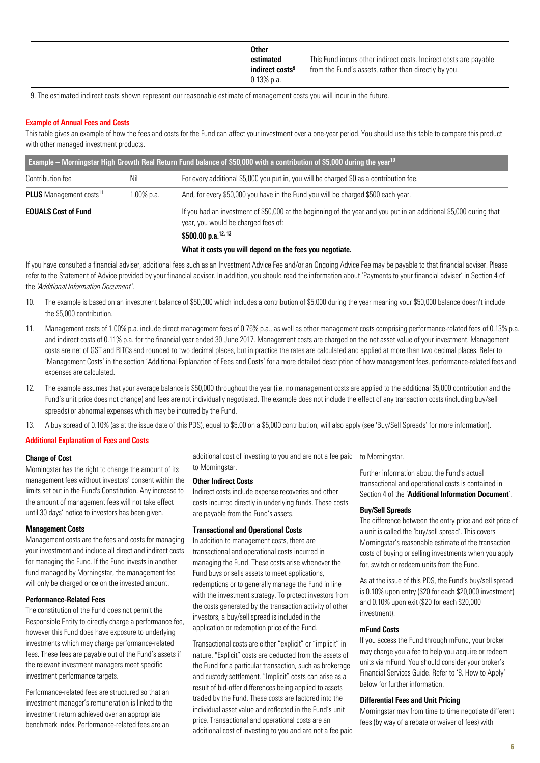| <b>Other</b>                |                                                                   |
|-----------------------------|-------------------------------------------------------------------|
| estimated                   | This Fund incurs other indirect costs. Indirect costs are payable |
| indirect costs <sup>9</sup> | from the Fund's assets, rather than directly by you.              |
| $0.13%$ p.a.                |                                                                   |

9. The estimated indirect costs shown represent our reasonable estimate of management costs you will incur in the future.

#### Example of Annual Fees and Costs

This table gives an example of how the fees and costs for the Fund can affect your investment over a one-year period. You should use this table to compare this product with other managed investment products.

| <b>Example – Morningstar High Growth Real Return Fund balance of \$50,000 with a contribution of \$5,000 during the year</b> <sup>10</sup> |               |                                                                                                                                                           |  |
|--------------------------------------------------------------------------------------------------------------------------------------------|---------------|-----------------------------------------------------------------------------------------------------------------------------------------------------------|--|
| Contribution fee                                                                                                                           | Nil           | For every additional \$5,000 you put in, you will be charged \$0 as a contribution fee.                                                                   |  |
| <b>PLUS</b> Management costs <sup>11</sup>                                                                                                 | $1.00\%$ p.a. | And, for every \$50,000 you have in the Fund you will be charged \$500 each year.                                                                         |  |
| <b>EQUALS Cost of Fund</b>                                                                                                                 |               | If you had an investment of \$50,000 at the beginning of the year and you put in an additional \$5,000 during that<br>year, you would be charged fees of: |  |
|                                                                                                                                            |               | \$500.00 p.a. <sup>12, 13</sup>                                                                                                                           |  |
|                                                                                                                                            |               | What it costs you will depend on the fees you negotiate.                                                                                                  |  |

If you have consulted a financial adviser, additional fees such as an Investment Advice Fee and/or an Ongoing Advice Fee may be payable to that financial adviser. Please refer to the Statement of Advice provided by your financial adviser. In addition, you should read the information about 'Payments to your financial adviser' in Section 4 of the *'Additional Information Document'*.

- 10. The example is based on an investment balance of \$50,000 which includes a contribution of \$5,000 during the year meaning your \$50,000 balance doesn't include the \$5,000 contribution.
- 11. Management costs of 1.00% p.a. include direct management fees of 0.76% p.a., as well as other management costs comprising performance-related fees of 0.13% p.a. and indirect costs of 0.11% p.a. for the financial year ended 30 June 2017. Management costs are charged on the net asset value of your investment. Management costs are net of GST and RITCs and rounded to two decimal places, but in practice the rates are calculated and applied at more than two decimal places. Refer to 'Management Costs' in the section 'Additional Explanation of Fees and Costs' for a more detailed description of how management fees, performance-related fees and expenses are calculated.
- 12. The example assumes that your average balance is \$50,000 throughout the year (i.e. no management costs are applied to the additional \$5,000 contribution and the Fund's unit price does not change) and fees are not individually negotiated. The example does not include the effect of any transaction costs (including buy/sell spreads) or abnormal expenses which may be incurred by the Fund.
- 13. A buy spread of 0.10% (as at the issue date of this PDS), equal to \$5.00 on a \$5,000 contribution, will also apply (see 'Buy/Sell Spreads' for more information).

#### Additional Explanation of Fees and Costs

#### Change of Cost

Morningstar has the right to change the amount of its management fees without investors' consent within the limits set out in the Fund's Constitution. Any increase to the amount of management fees will not take effect until 30 days' notice to investors has been given.

#### Management Costs

Management costs are the fees and costs for managing your investment and include all direct and indirect costs for managing the Fund. If the Fund invests in another fund managed by Morningstar, the management fee will only be charged once on the invested amount.

#### Performance-Related Fees

The constitution of the Fund does not permit the Responsible Entity to directly charge a performance fee, however this Fund does have exposure to underlying investments which may charge performance-related fees. These fees are payable out of the Fund's assets if the relevant investment managers meet specific investment performance targets.

Performance-related fees are structured so that an investment manager's remuneration is linked to the investment return achieved over an appropriate benchmark index. Performance-related fees are an

additional cost of investing to you and are not a fee paid to Morningstar.

#### Other Indirect Costs

Indirect costs include expense recoveries and other costs incurred directly in underlying funds. These costs are payable from the Fund's assets.

#### Transactional and Operational Costs

In addition to management costs, there are transactional and operational costs incurred in managing the Fund. These costs arise whenever the Fund buys or sells assets to meet applications, redemptions or to generally manage the Fund in line with the investment strategy. To protect investors from the costs generated by the transaction activity of other investors, a buy/sell spread is included in the application or redemption price of the Fund.

Transactional costs are either "explicit" or "implicit" in nature. "Explicit" costs are deducted from the assets of the Fund for a particular transaction, such as brokerage and custody settlement. "Implicit" costs can arise as a result of bid-offer differences being applied to assets traded by the Fund. These costs are factored into the individual asset value and reflected in the Fund's unit price. Transactional and operational costs are an additional cost of investing to you and are not a fee paid to Morningstar.

Further information about the Fund's actual transactional and operational costs is contained in Section 4 of the 'Additional Information Document'.

#### Buy/Sell Spreads

The difference between the entry price and exit price of a unit is called the 'buy/sell spread'. This covers Morningstar's reasonable estimate of the transaction costs of buying or selling investments when you apply for, switch or redeem units from the Fund.

As at the issue of this PDS, the Fund's buy/sell spread is 0.10% upon entry (\$20 for each \$20,000 investment) and 0.10% upon exit (\$20 for each \$20,000 investment).

#### mFund Costs

If you access the Fund through mFund, your broker may charge you a fee to help you acquire or redeem units via mFund. You should consider your broker's Financial Services Guide. Refer to '8. How to Apply' below for further information.

#### Differential Fees and Unit Pricing

Morningstar may from time to time negotiate different fees (by way of a rebate or waiver of fees) with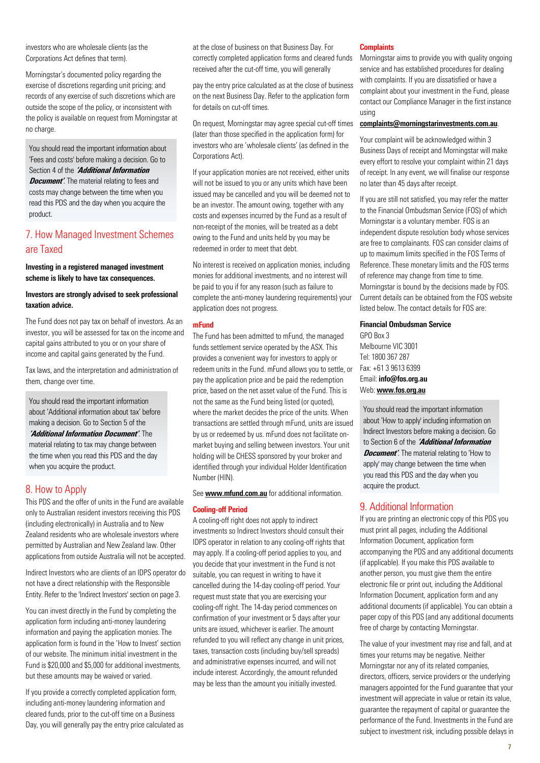investors who are wholesale clients (as the Corporations Act defines that term).

Morningstar's documented policy regarding the exercise of discretions regarding unit pricing; and records of any exercise of such discretions which are outside the scope of the policy, or inconsistent with the policy is available on request from Morningstar at no charge.

You should read the important information about 'Fees and costs' before making a decision. Go to Section 4 of the **'Additional Information Document'**. The material relating to fees and costs may change between the time when you read this PDS and the day when you acquire the product.

## <span id="page-6-0"></span>7. How Managed Investment Schemes are Taxed

Investing in a registered managed investment scheme is likely to have tax consequences.

#### Investors are strongly advised to seek professional taxation advice.

The Fund does not pay tax on behalf of investors. As an investor, you will be assessed for tax on the income and capital gains attributed to you or on your share of income and capital gains generated by the Fund.

Tax laws, and the interpretation and administration of them, change over time.

You should read the important information about 'Additional information about tax' before making a decision. Go to Section 5 of the **'Additional Information Document'**. The material relating to tax may change between the time when you read this PDS and the day when you acquire the product.

## <span id="page-6-1"></span>8. How to Apply

This PDS and the offer of units in the Fund are available only to Australian resident investors receiving this PDS (including electronically) in Australia and to New Zealand residents who are wholesale investors where permitted by Australian and New Zealand law. Other applications from outside Australia will not be accepted.

Indirect Investors who are clients of an IDPS operator do not have a direct relationship with the Responsible Entity. Refer to the 'Indirect Investors' section on page 3.

You can invest directly in the Fund by completing the application form including anti-money laundering information and paying the application monies. The application form is found in the 'How to Invest' section of our website. The minimum initial investment in the Fund is \$20,000 and \$5,000 for additional investments, but these amounts may be waived or varied.

If you provide a correctly completed application form, including anti-money laundering information and cleared funds, prior to the cut-off time on a Business Day, you will generally pay the entry price calculated as at the close of business on that Business Day. For correctly completed application forms and cleared funds received after the cut-off time, you will generally

pay the entry price calculated as at the close of business on the next Business Day. Refer to the application form for details on cut-off times.

On request, Morningstar may agree special cut-off times (later than those specified in the application form) for investors who are 'wholesale clients' (as defined in the Corporations Act).

If your application monies are not received, either units will not be issued to you or any units which have been issued may be cancelled and you will be deemed not to be an investor. The amount owing, together with any costs and expenses incurred by the Fund as a result of non-receipt of the monies, will be treated as a debt owing to the Fund and units held by you may be redeemed in order to meet that debt.

No interest is received on application monies, including monies for additional investments, and no interest will be paid to you if for any reason (such as failure to complete the anti-money laundering requirements) your application does not progress.

#### mFund

The Fund has been admitted to mFund, the managed funds settlement service operated by the ASX. This provides a convenient way for investors to apply or redeem units in the Fund. mFund allows you to settle, or pay the application price and be paid the redemption price, based on the net asset value of the Fund. This is not the same as the Fund being listed (or quoted), where the market decides the price of the units. When transactions are settled through mFund, units are issued by us or redeemed by us. mFund does not facilitate onmarket buying and selling between investors. Your unit holding will be CHESS sponsored by your broker and identified through your individual Holder Identification Number (HIN).

See [www.mfund.com.au](http://www.mfund.com.au/) for additional information.

#### Cooling-off Period

A cooling-off right does not apply to indirect investments so Indirect Investors should consult their IDPS operator in relation to any cooling-off rights that may apply. If a cooling-off period applies to you, and you decide that your investment in the Fund is not suitable, you can request in writing to have it cancelled during the 14-day cooling-off period. Your request must state that you are exercising your cooling-off right. The 14-day period commences on confirmation of your investment or 5 days after your units are issued, whichever is earlier. The amount refunded to you will reflect any change in unit prices, taxes, transaction costs (including buy/sell spreads) and administrative expenses incurred, and will not include interest. Accordingly, the amount refunded may be less than the amount you initially invested.

#### **Complaints**

Morningstar aims to provide you with quality ongoing service and has established procedures for dealing with complaints. If you are dissatisfied or have a complaint about your investment in the Fund, please contact our Compliance Manager in the first instance using

#### [complaints@morningstarinvestments.com.au](http://complaints@morningstarinvestments.com.au).

Your complaint will be acknowledged within 3 Business Days of receipt and Morningstar will make every effort to resolve your complaint within 21 days of receipt. In any event, we will finalise our response no later than 45 days after receipt.

If you are still not satisfied, you may refer the matter to the Financial Ombudsman Service (FOS) of which Morningstar is a voluntary member. FOS is an independent dispute resolution body whose services are free to complainants. FOS can consider claims of up to maximum limits specified in the FOS Terms of Reference. These monetary limits and the FOS terms of reference may change from time to time. Morningstar is bound by the decisions made by FOS. Current details can be obtained from the FOS website listed below. The contact details for FOS are:

#### Financial Ombudsman Service

GPO Box 3 Melbourne VIC 3001 Tel: 1800 367 287 Fax: +61 3 9613 6399 Email: [info@fos.org.au](mailto:info@fos.org.au) Web: [www.fos.org.au](http://www.fos.org.au/)

You should read the important information about 'How to apply' including information on Indirect Investors before making a decision. Go to Section 6 of the **'Additional Information Document'**. The material relating to 'How to apply' may change between the time when you read this PDS and the day when you acquire the product.

## <span id="page-6-2"></span>9. Additional Information

If you are printing an electronic copy of this PDS you must print all pages, including the Additional Information Document, application form accompanying the PDS and any additional documents (if applicable). If you make this PDS available to another person, you must give them the entire electronic file or print out, including the Additional Information Document, application form and any additional documents (if applicable). You can obtain a paper copy of this PDS (and any additional documents free of charge by contacting Morningstar.

The value of your investment may rise and fall, and at times your returns may be negative. Neither Morningstar nor any of its related companies, directors, officers, service providers or the underlying managers appointed for the Fund guarantee that your investment will appreciate in value or retain its value, guarantee the repayment of capital or guarantee the performance of the Fund. Investments in the Fund are subject to investment risk, including possible delays in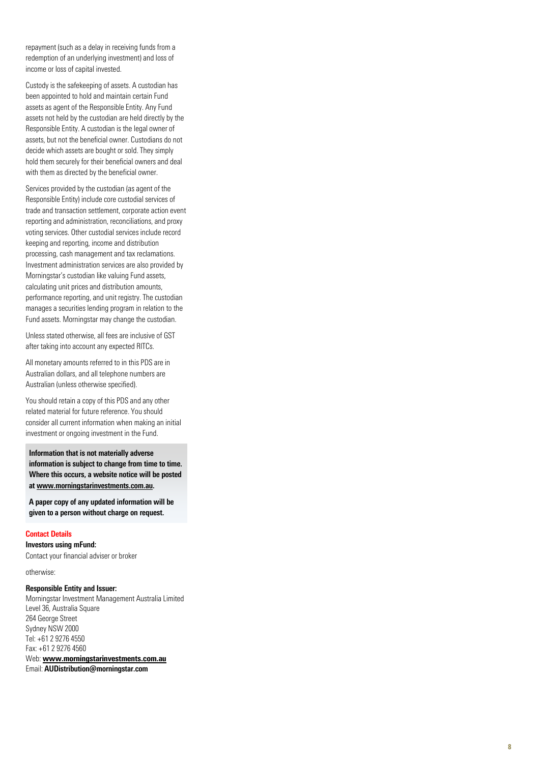repayment (such as a delay in receiving funds from a redemption of an underlying investment) and loss of income or loss of capital invested.

Custody is the safekeeping of assets. A custodian has been appointed to hold and maintain certain Fund assets as agent of the Responsible Entity. Any Fund assets not held by the custodian are held directly by the Responsible Entity. A custodian is the legal owner of assets, but not the beneficial owner. Custodians do not decide which assets are bought or sold. They simply hold them securely for their beneficial owners and deal with them as directed by the beneficial owner.

Services provided by the custodian (as agent of the Responsible Entity) include core custodial services of trade and transaction settlement, corporate action event reporting and administration, reconciliations, and proxy voting services. Other custodial services include record keeping and reporting, income and distribution processing, cash management and tax reclamations. Investment administration services are also provided by Morningstar's custodian like valuing Fund assets, calculating unit prices and distribution amounts, performance reporting, and unit registry. The custodian manages a securities lending program in relation to the Fund assets. Morningstar may change the custodian.

Unless stated otherwise, all fees are inclusive of GST after taking into account any expected RITCs.

All monetary amounts referred to in this PDS are in Australian dollars, and all telephone numbers are Australian (unless otherwise specified).

You should retain a copy of this PDS and any other related material for future reference. You should consider all current information when making an initial investment or ongoing investment in the Fund.

Information that is not materially adverse information is subject to change from time to time. Where this occurs, a website notice will be posted a[t www.morningstarinvestments.com.au.](http://www.morningstarinvestments.com.au/) 

A paper copy of any updated information will be given to a person without charge on request.

#### Contac t Details

Investors using mFund: Contact your financial adviser or broker

otherwise:

#### Responsible Entity and Issuer:

Morningstar Investment Management Australia Limited Level 36, Australia Square 264 George Street Sydney NSW 2000 Tel: +61 2 9276 4550 Fax: +61 2 9276 4560 Web: **[www.morningstarinvestments.com.au](http://www.morningstarinvestments.com.au/)**

Email: AUDistribution@morningstar.com